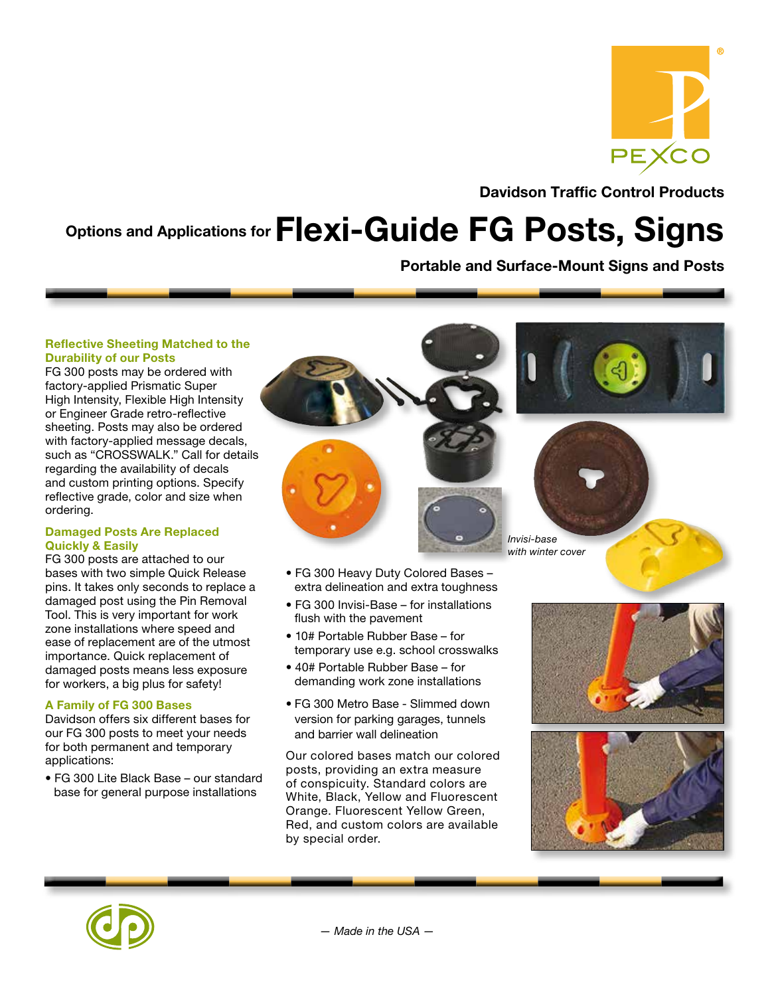

Davidson Traffic Control Products

# Options and Applications for Flexi-Guide FG Posts, Signs

Portable and Surface-Mount Signs and Posts

### Reflective Sheeting Matched to the Durability of our Posts

FG 300 posts may be ordered with factory-applied Prismatic Super High Intensity, Flexible High Intensity or Engineer Grade retro-reflective sheeting. Posts may also be ordered with factory-applied message decals, such as "CROSSWALK." Call for details regarding the availability of decals and custom printing options. Specify reflective grade, color and size when ordering.

### Damaged Posts Are Replaced Quickly & Easily

FG 300 posts are attached to our bases with two simple Quick Release pins. It takes only seconds to replace a damaged post using the Pin Removal Tool. This is very important for work zone installations where speed and ease of replacement are of the utmost importance. Quick replacement of damaged posts means less exposure for workers, a big plus for safety!

### A Family of FG 300 Bases

Davidson offers six different bases for our FG 300 posts to meet your needs for both permanent and temporary applications:

• FG 300 Lite Black Base – our standard base for general purpose installations



- FG 300 Heavy Duty Colored Bases extra delineation and extra toughness
- FG 300 Invisi-Base for installations flush with the pavement
- 10# Portable Rubber Base for temporary use e.g. school crosswalks
- 40# Portable Rubber Base for demanding work zone installations
- FG 300 Metro Base Slimmed down version for parking garages, tunnels and barrier wall delineation

Our colored bases match our colored posts, providing an extra measure of conspicuity. Standard colors are White, Black, Yellow and Fluorescent Orange. Fluorescent Yellow Green, Red, and custom colors are available by special order.